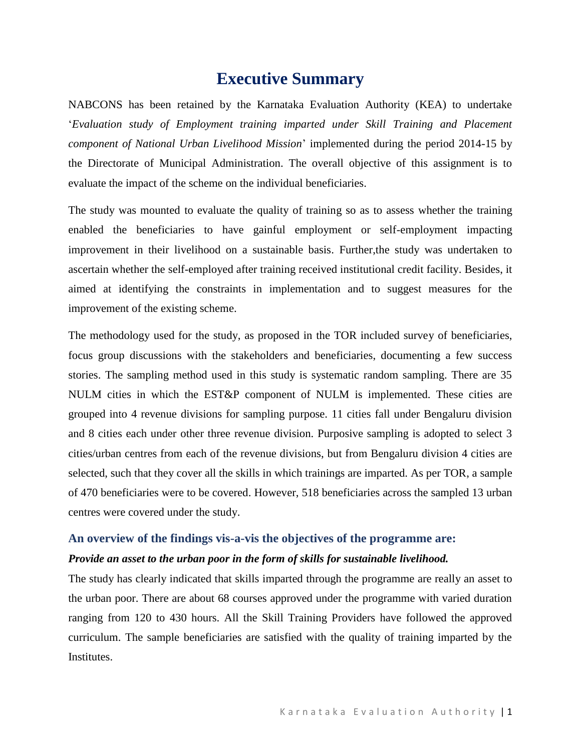# **Executive Summary**

NABCONS has been retained by the Karnataka Evaluation Authority (KEA) to undertake '*Evaluation study of Employment training imparted under Skill Training and Placement component of National Urban Livelihood Mission*' implemented during the period 2014-15 by the Directorate of Municipal Administration. The overall objective of this assignment is to evaluate the impact of the scheme on the individual beneficiaries.

The study was mounted to evaluate the quality of training so as to assess whether the training enabled the beneficiaries to have gainful employment or self-employment impacting improvement in their livelihood on a sustainable basis. Further,the study was undertaken to ascertain whether the self-employed after training received institutional credit facility. Besides, it aimed at identifying the constraints in implementation and to suggest measures for the improvement of the existing scheme.

The methodology used for the study, as proposed in the TOR included survey of beneficiaries, focus group discussions with the stakeholders and beneficiaries, documenting a few success stories. The sampling method used in this study is systematic random sampling. There are 35 NULM cities in which the EST&P component of NULM is implemented. These cities are grouped into 4 revenue divisions for sampling purpose. 11 cities fall under Bengaluru division and 8 cities each under other three revenue division. Purposive sampling is adopted to select 3 cities/urban centres from each of the revenue divisions, but from Bengaluru division 4 cities are selected, such that they cover all the skills in which trainings are imparted. As per TOR, a sample of 470 beneficiaries were to be covered. However, 518 beneficiaries across the sampled 13 urban centres were covered under the study.

### **An overview of the findings vis-a-vis the objectives of the programme are:**

#### *Provide an asset to the urban poor in the form of skills for sustainable livelihood.*

The study has clearly indicated that skills imparted through the programme are really an asset to the urban poor. There are about 68 courses approved under the programme with varied duration ranging from 120 to 430 hours. All the Skill Training Providers have followed the approved curriculum. The sample beneficiaries are satisfied with the quality of training imparted by the Institutes.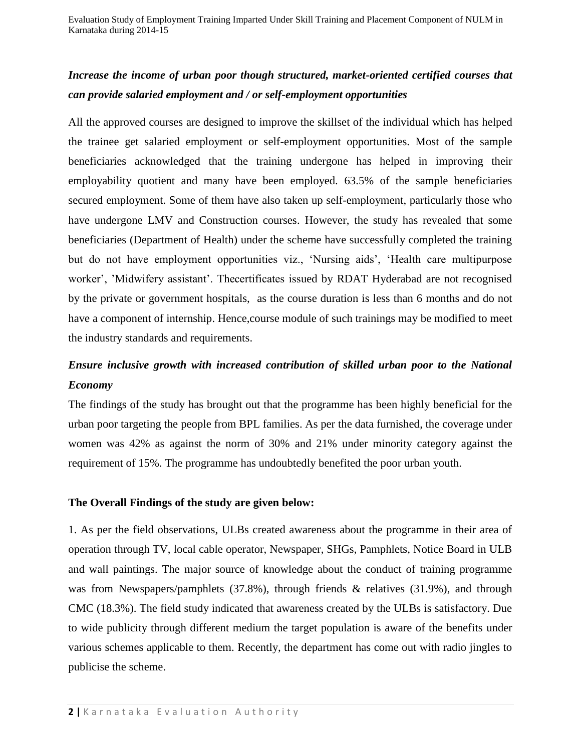### *Increase the income of urban poor though structured, market-oriented certified courses that can provide salaried employment and / or self-employment opportunities*

All the approved courses are designed to improve the skillset of the individual which has helped the trainee get salaried employment or self-employment opportunities. Most of the sample beneficiaries acknowledged that the training undergone has helped in improving their employability quotient and many have been employed. 63.5% of the sample beneficiaries secured employment. Some of them have also taken up self-employment, particularly those who have undergone LMV and Construction courses. However, the study has revealed that some beneficiaries (Department of Health) under the scheme have successfully completed the training but do not have employment opportunities viz., 'Nursing aids', 'Health care multipurpose worker', 'Midwifery assistant'. Thecertificates issued by RDAT Hyderabad are not recognised by the private or government hospitals, as the course duration is less than 6 months and do not have a component of internship. Hence,course module of such trainings may be modified to meet the industry standards and requirements.

## *Ensure inclusive growth with increased contribution of skilled urban poor to the National Economy*

The findings of the study has brought out that the programme has been highly beneficial for the urban poor targeting the people from BPL families. As per the data furnished, the coverage under women was 42% as against the norm of 30% and 21% under minority category against the requirement of 15%. The programme has undoubtedly benefited the poor urban youth.

### **The Overall Findings of the study are given below:**

1. As per the field observations, ULBs created awareness about the programme in their area of operation through TV, local cable operator, Newspaper, SHGs, Pamphlets, Notice Board in ULB and wall paintings. The major source of knowledge about the conduct of training programme was from Newspapers/pamphlets (37.8%), through friends & relatives (31.9%), and through CMC (18.3%). The field study indicated that awareness created by the ULBs is satisfactory. Due to wide publicity through different medium the target population is aware of the benefits under various schemes applicable to them. Recently, the department has come out with radio jingles to publicise the scheme.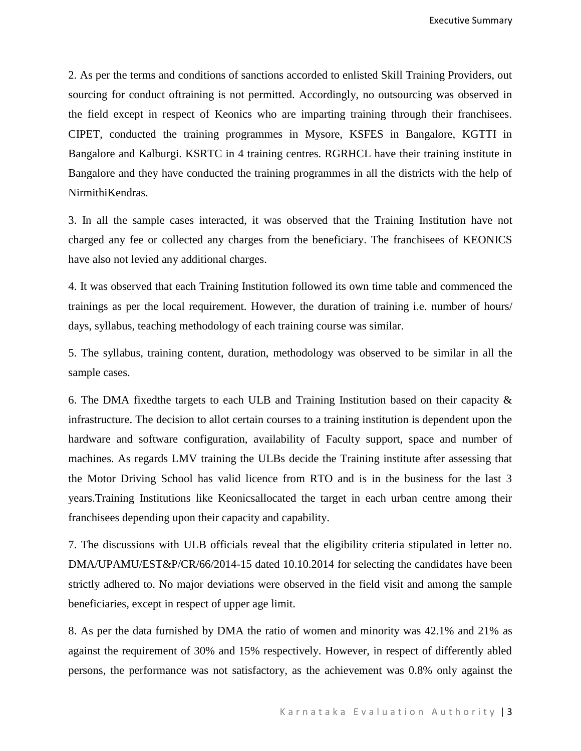Executive Summary

2. As per the terms and conditions of sanctions accorded to enlisted Skill Training Providers, out sourcing for conduct oftraining is not permitted. Accordingly, no outsourcing was observed in the field except in respect of Keonics who are imparting training through their franchisees. CIPET, conducted the training programmes in Mysore, KSFES in Bangalore, KGTTI in Bangalore and Kalburgi. KSRTC in 4 training centres. RGRHCL have their training institute in Bangalore and they have conducted the training programmes in all the districts with the help of NirmithiKendras.

3. In all the sample cases interacted, it was observed that the Training Institution have not charged any fee or collected any charges from the beneficiary. The franchisees of KEONICS have also not levied any additional charges.

4. It was observed that each Training Institution followed its own time table and commenced the trainings as per the local requirement. However, the duration of training i.e. number of hours/ days, syllabus, teaching methodology of each training course was similar.

5. The syllabus, training content, duration, methodology was observed to be similar in all the sample cases.

6. The DMA fixedthe targets to each ULB and Training Institution based on their capacity & infrastructure. The decision to allot certain courses to a training institution is dependent upon the hardware and software configuration, availability of Faculty support, space and number of machines. As regards LMV training the ULBs decide the Training institute after assessing that the Motor Driving School has valid licence from RTO and is in the business for the last 3 years.Training Institutions like Keonicsallocated the target in each urban centre among their franchisees depending upon their capacity and capability.

7. The discussions with ULB officials reveal that the eligibility criteria stipulated in letter no. DMA/UPAMU/EST&P/CR/66/2014-15 dated 10.10.2014 for selecting the candidates have been strictly adhered to. No major deviations were observed in the field visit and among the sample beneficiaries, except in respect of upper age limit.

8. As per the data furnished by DMA the ratio of women and minority was 42.1% and 21% as against the requirement of 30% and 15% respectively. However, in respect of differently abled persons, the performance was not satisfactory, as the achievement was 0.8% only against the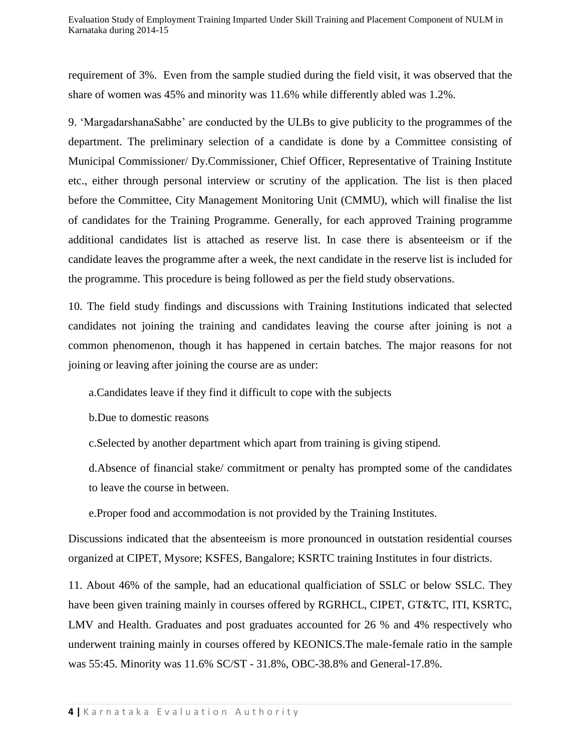requirement of 3%. Even from the sample studied during the field visit, it was observed that the share of women was 45% and minority was 11.6% while differently abled was 1.2%.

9. 'MargadarshanaSabhe' are conducted by the ULBs to give publicity to the programmes of the department. The preliminary selection of a candidate is done by a Committee consisting of Municipal Commissioner/ Dy.Commissioner, Chief Officer, Representative of Training Institute etc., either through personal interview or scrutiny of the application. The list is then placed before the Committee, City Management Monitoring Unit (CMMU), which will finalise the list of candidates for the Training Programme. Generally, for each approved Training programme additional candidates list is attached as reserve list. In case there is absenteeism or if the candidate leaves the programme after a week, the next candidate in the reserve list is included for the programme. This procedure is being followed as per the field study observations.

10. The field study findings and discussions with Training Institutions indicated that selected candidates not joining the training and candidates leaving the course after joining is not a common phenomenon, though it has happened in certain batches. The major reasons for not joining or leaving after joining the course are as under:

a.Candidates leave if they find it difficult to cope with the subjects

b.Due to domestic reasons

c.Selected by another department which apart from training is giving stipend.

d.Absence of financial stake/ commitment or penalty has prompted some of the candidates to leave the course in between.

e.Proper food and accommodation is not provided by the Training Institutes.

Discussions indicated that the absenteeism is more pronounced in outstation residential courses organized at CIPET, Mysore; KSFES, Bangalore; KSRTC training Institutes in four districts.

11. About 46% of the sample, had an educational qualficiation of SSLC or below SSLC. They have been given training mainly in courses offered by RGRHCL, CIPET, GT&TC, ITI, KSRTC, LMV and Health. Graduates and post graduates accounted for 26 % and 4% respectively who underwent training mainly in courses offered by KEONICS.The male-female ratio in the sample was 55:45. Minority was 11.6% SC/ST - 31.8%, OBC-38.8% and General-17.8%.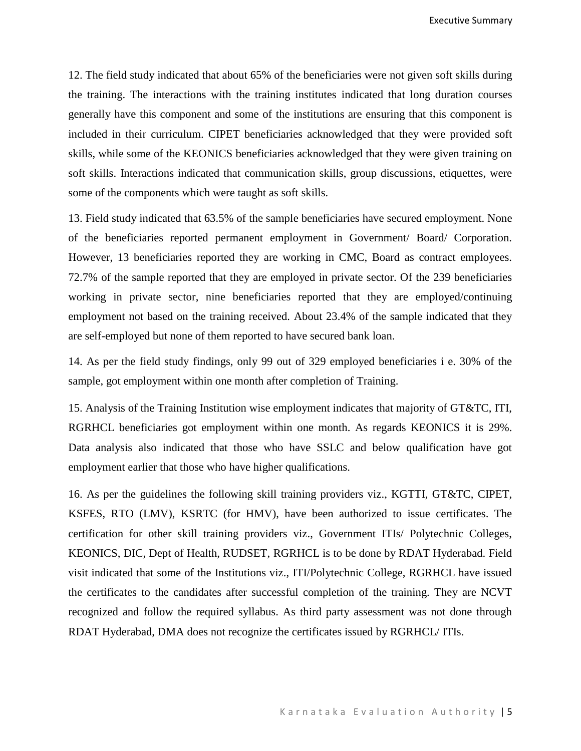12. The field study indicated that about 65% of the beneficiaries were not given soft skills during the training. The interactions with the training institutes indicated that long duration courses generally have this component and some of the institutions are ensuring that this component is included in their curriculum. CIPET beneficiaries acknowledged that they were provided soft skills, while some of the KEONICS beneficiaries acknowledged that they were given training on soft skills. Interactions indicated that communication skills, group discussions, etiquettes, were some of the components which were taught as soft skills.

13. Field study indicated that 63.5% of the sample beneficiaries have secured employment. None of the beneficiaries reported permanent employment in Government/ Board/ Corporation. However, 13 beneficiaries reported they are working in CMC, Board as contract employees. 72.7% of the sample reported that they are employed in private sector. Of the 239 beneficiaries working in private sector, nine beneficiaries reported that they are employed/continuing employment not based on the training received. About 23.4% of the sample indicated that they are self-employed but none of them reported to have secured bank loan.

14. As per the field study findings, only 99 out of 329 employed beneficiaries i e. 30% of the sample, got employment within one month after completion of Training.

15. Analysis of the Training Institution wise employment indicates that majority of GT&TC, ITI, RGRHCL beneficiaries got employment within one month. As regards KEONICS it is 29%. Data analysis also indicated that those who have SSLC and below qualification have got employment earlier that those who have higher qualifications.

16. As per the guidelines the following skill training providers viz., KGTTI, GT&TC, CIPET, KSFES, RTO (LMV), KSRTC (for HMV), have been authorized to issue certificates. The certification for other skill training providers viz., Government ITIs/ Polytechnic Colleges, KEONICS, DIC, Dept of Health, RUDSET, RGRHCL is to be done by RDAT Hyderabad. Field visit indicated that some of the Institutions viz., ITI/Polytechnic College, RGRHCL have issued the certificates to the candidates after successful completion of the training. They are NCVT recognized and follow the required syllabus. As third party assessment was not done through RDAT Hyderabad, DMA does not recognize the certificates issued by RGRHCL/ ITIs.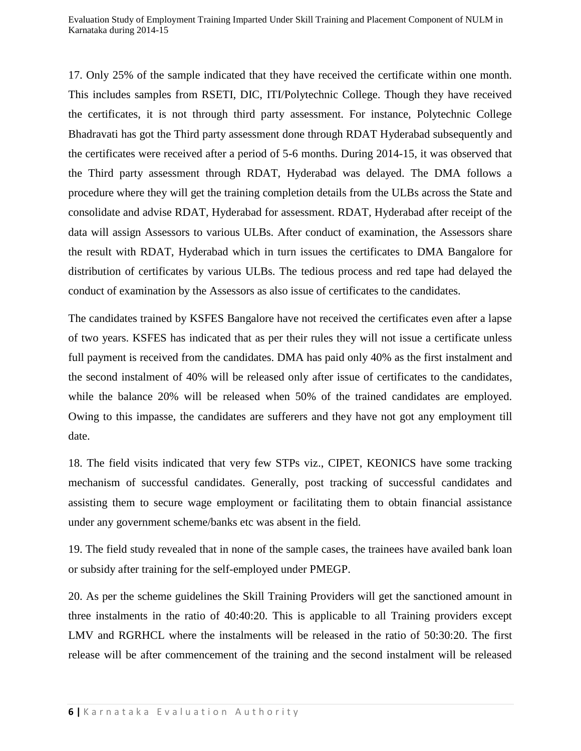Evaluation Study of Employment Training Imparted Under Skill Training and Placement Component of NULM in Karnataka during 2014-15

17. Only 25% of the sample indicated that they have received the certificate within one month. This includes samples from RSETI, DIC, ITI/Polytechnic College. Though they have received the certificates, it is not through third party assessment. For instance, Polytechnic College Bhadravati has got the Third party assessment done through RDAT Hyderabad subsequently and the certificates were received after a period of 5-6 months. During 2014-15, it was observed that the Third party assessment through RDAT, Hyderabad was delayed. The DMA follows a procedure where they will get the training completion details from the ULBs across the State and consolidate and advise RDAT, Hyderabad for assessment. RDAT, Hyderabad after receipt of the data will assign Assessors to various ULBs. After conduct of examination, the Assessors share the result with RDAT, Hyderabad which in turn issues the certificates to DMA Bangalore for distribution of certificates by various ULBs. The tedious process and red tape had delayed the conduct of examination by the Assessors as also issue of certificates to the candidates.

The candidates trained by KSFES Bangalore have not received the certificates even after a lapse of two years. KSFES has indicated that as per their rules they will not issue a certificate unless full payment is received from the candidates. DMA has paid only 40% as the first instalment and the second instalment of 40% will be released only after issue of certificates to the candidates, while the balance 20% will be released when 50% of the trained candidates are employed. Owing to this impasse, the candidates are sufferers and they have not got any employment till date.

18. The field visits indicated that very few STPs viz., CIPET, KEONICS have some tracking mechanism of successful candidates. Generally, post tracking of successful candidates and assisting them to secure wage employment or facilitating them to obtain financial assistance under any government scheme/banks etc was absent in the field.

19. The field study revealed that in none of the sample cases, the trainees have availed bank loan or subsidy after training for the self-employed under PMEGP.

20. As per the scheme guidelines the Skill Training Providers will get the sanctioned amount in three instalments in the ratio of 40:40:20. This is applicable to all Training providers except LMV and RGRHCL where the instalments will be released in the ratio of 50:30:20. The first release will be after commencement of the training and the second instalment will be released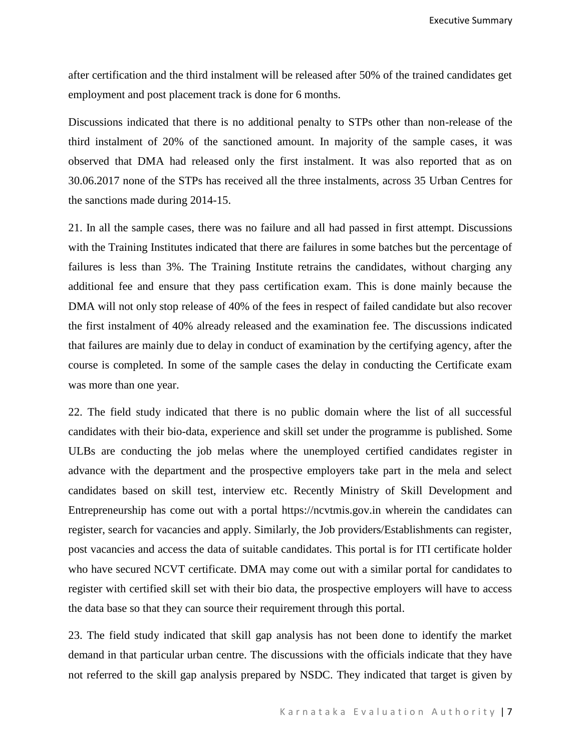Executive Summary

after certification and the third instalment will be released after 50% of the trained candidates get employment and post placement track is done for 6 months.

Discussions indicated that there is no additional penalty to STPs other than non-release of the third instalment of 20% of the sanctioned amount. In majority of the sample cases, it was observed that DMA had released only the first instalment. It was also reported that as on 30.06.2017 none of the STPs has received all the three instalments, across 35 Urban Centres for the sanctions made during 2014-15.

21. In all the sample cases, there was no failure and all had passed in first attempt. Discussions with the Training Institutes indicated that there are failures in some batches but the percentage of failures is less than 3%. The Training Institute retrains the candidates, without charging any additional fee and ensure that they pass certification exam. This is done mainly because the DMA will not only stop release of 40% of the fees in respect of failed candidate but also recover the first instalment of 40% already released and the examination fee. The discussions indicated that failures are mainly due to delay in conduct of examination by the certifying agency, after the course is completed. In some of the sample cases the delay in conducting the Certificate exam was more than one year.

22. The field study indicated that there is no public domain where the list of all successful candidates with their bio-data, experience and skill set under the programme is published. Some ULBs are conducting the job melas where the unemployed certified candidates register in advance with the department and the prospective employers take part in the mela and select candidates based on skill test, interview etc. Recently Ministry of Skill Development and Entrepreneurship has come out with a portal https://ncvtmis.gov.in wherein the candidates can register, search for vacancies and apply. Similarly, the Job providers/Establishments can register, post vacancies and access the data of suitable candidates. This portal is for ITI certificate holder who have secured NCVT certificate. DMA may come out with a similar portal for candidates to register with certified skill set with their bio data, the prospective employers will have to access the data base so that they can source their requirement through this portal.

23. The field study indicated that skill gap analysis has not been done to identify the market demand in that particular urban centre. The discussions with the officials indicate that they have not referred to the skill gap analysis prepared by NSDC. They indicated that target is given by

K a r n a t a k a E v a l u a t i o n A u t h o r i t v | 7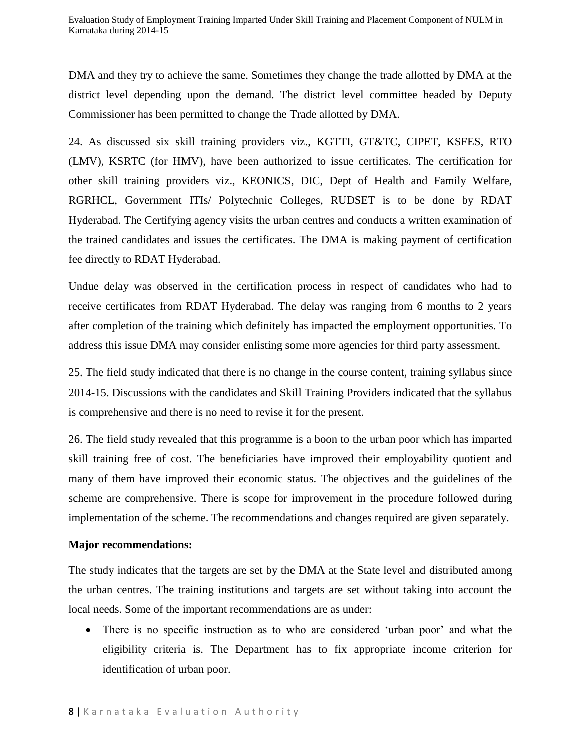DMA and they try to achieve the same. Sometimes they change the trade allotted by DMA at the district level depending upon the demand. The district level committee headed by Deputy Commissioner has been permitted to change the Trade allotted by DMA.

24. As discussed six skill training providers viz., KGTTI, GT&TC, CIPET, KSFES, RTO (LMV), KSRTC (for HMV), have been authorized to issue certificates. The certification for other skill training providers viz., KEONICS, DIC, Dept of Health and Family Welfare, RGRHCL, Government ITIs/ Polytechnic Colleges, RUDSET is to be done by RDAT Hyderabad. The Certifying agency visits the urban centres and conducts a written examination of the trained candidates and issues the certificates. The DMA is making payment of certification fee directly to RDAT Hyderabad.

Undue delay was observed in the certification process in respect of candidates who had to receive certificates from RDAT Hyderabad. The delay was ranging from 6 months to 2 years after completion of the training which definitely has impacted the employment opportunities. To address this issue DMA may consider enlisting some more agencies for third party assessment.

25. The field study indicated that there is no change in the course content, training syllabus since 2014-15. Discussions with the candidates and Skill Training Providers indicated that the syllabus is comprehensive and there is no need to revise it for the present.

26. The field study revealed that this programme is a boon to the urban poor which has imparted skill training free of cost. The beneficiaries have improved their employability quotient and many of them have improved their economic status. The objectives and the guidelines of the scheme are comprehensive. There is scope for improvement in the procedure followed during implementation of the scheme. The recommendations and changes required are given separately.

### **Major recommendations:**

The study indicates that the targets are set by the DMA at the State level and distributed among the urban centres. The training institutions and targets are set without taking into account the local needs. Some of the important recommendations are as under:

• There is no specific instruction as to who are considered 'urban poor' and what the eligibility criteria is. The Department has to fix appropriate income criterion for identification of urban poor.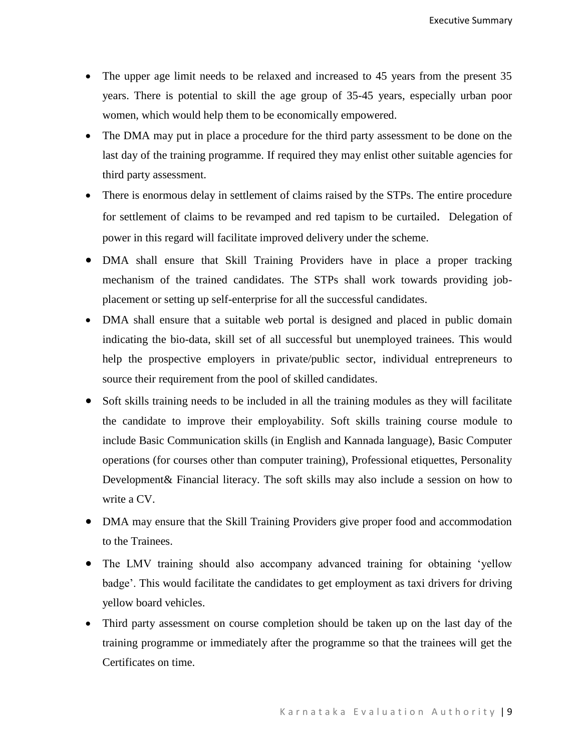- The upper age limit needs to be relaxed and increased to 45 years from the present 35 years. There is potential to skill the age group of 35-45 years, especially urban poor women, which would help them to be economically empowered.
- The DMA may put in place a procedure for the third party assessment to be done on the last day of the training programme. If required they may enlist other suitable agencies for third party assessment.
- There is enormous delay in settlement of claims raised by the STPs. The entire procedure for settlement of claims to be revamped and red tapism to be curtailed. Delegation of power in this regard will facilitate improved delivery under the scheme.
- DMA shall ensure that Skill Training Providers have in place a proper tracking mechanism of the trained candidates. The STPs shall work towards providing jobplacement or setting up self-enterprise for all the successful candidates.
- DMA shall ensure that a suitable web portal is designed and placed in public domain indicating the bio-data, skill set of all successful but unemployed trainees. This would help the prospective employers in private/public sector, individual entrepreneurs to source their requirement from the pool of skilled candidates.
- Soft skills training needs to be included in all the training modules as they will facilitate the candidate to improve their employability. Soft skills training course module to include Basic Communication skills (in English and Kannada language), Basic Computer operations (for courses other than computer training), Professional etiquettes, Personality Development& Financial literacy. The soft skills may also include a session on how to write a CV.
- DMA may ensure that the Skill Training Providers give proper food and accommodation to the Trainees.
- The LMV training should also accompany advanced training for obtaining 'yellow badge'. This would facilitate the candidates to get employment as taxi drivers for driving yellow board vehicles.
- Third party assessment on course completion should be taken up on the last day of the training programme or immediately after the programme so that the trainees will get the Certificates on time.